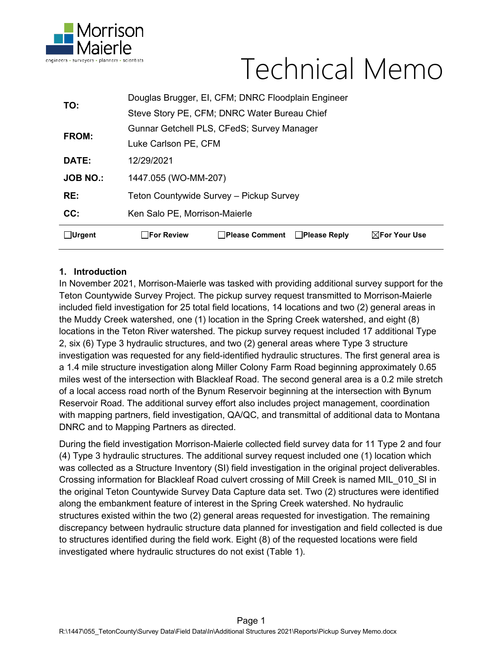

# Technical Memo

| <b>□Urgent</b>  | $\Box$ For Review<br><b>□Please Comment</b><br>$\boxtimes$ For Your Use<br><b>□ Please Reply</b> |  |  |
|-----------------|--------------------------------------------------------------------------------------------------|--|--|
| CC:             | Ken Salo PE, Morrison-Maierle                                                                    |  |  |
| RE:             | Teton Countywide Survey - Pickup Survey                                                          |  |  |
| <b>JOB NO.:</b> | 1447.055 (WO-MM-207)                                                                             |  |  |
| DATE:           | 12/29/2021                                                                                       |  |  |
|                 | Luke Carlson PE, CFM                                                                             |  |  |
| FROM:           | Gunnar Getchell PLS, CFedS; Survey Manager                                                       |  |  |
|                 | Steve Story PE, CFM; DNRC Water Bureau Chief                                                     |  |  |
| TO:             | Douglas Brugger, El, CFM; DNRC Floodplain Engineer                                               |  |  |

### **1. Introduction**

In November 2021, Morrison-Maierle was tasked with providing additional survey support for the Teton Countywide Survey Project. The pickup survey request transmitted to Morrison-Maierle included field investigation for 25 total field locations, 14 locations and two (2) general areas in the Muddy Creek watershed, one (1) location in the Spring Creek watershed, and eight (8) locations in the Teton River watershed. The pickup survey request included 17 additional Type 2, six (6) Type 3 hydraulic structures, and two (2) general areas where Type 3 structure investigation was requested for any field-identified hydraulic structures. The first general area is a 1.4 mile structure investigation along Miller Colony Farm Road beginning approximately 0.65 miles west of the intersection with Blackleaf Road. The second general area is a 0.2 mile stretch of a local access road north of the Bynum Reservoir beginning at the intersection with Bynum Reservoir Road. The additional survey effort also includes project management, coordination with mapping partners, field investigation, QA/QC, and transmittal of additional data to Montana DNRC and to Mapping Partners as directed.

During the field investigation Morrison-Maierle collected field survey data for 11 Type 2 and four (4) Type 3 hydraulic structures. The additional survey request included one (1) location which was collected as a Structure Inventory (SI) field investigation in the original project deliverables. Crossing information for Blackleaf Road culvert crossing of Mill Creek is named MIL\_010\_SI in the original Teton Countywide Survey Data Capture data set. Two (2) structures were identified along the embankment feature of interest in the Spring Creek watershed. No hydraulic structures existed within the two (2) general areas requested for investigation. The remaining discrepancy between hydraulic structure data planned for investigation and field collected is due to structures identified during the field work. Eight (8) of the requested locations were field investigated where hydraulic structures do not exist (Table 1).